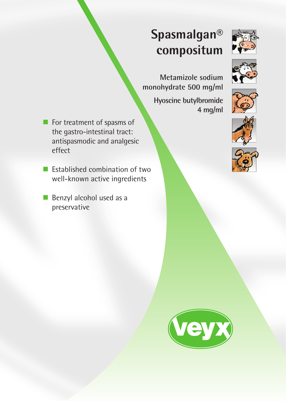# **Spasmalgan® compositum**





**Metamizole sodium monohydrate 500 mg/ml**

> **Hyoscine butylbromide 4 mg/ml**

- For treatment of spasms of the gastro-intestinal tract: antispasmodic and analgesic effect
- $\blacksquare$  Established combination of two well-known active ingredients
- Benzyl alcohol used as a preservative





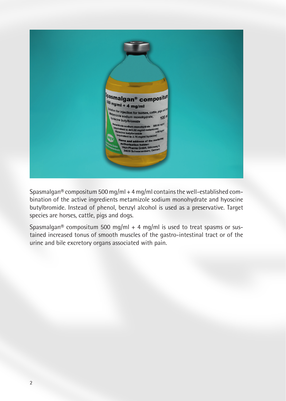

Spasmalgan® compositum 500 mg/ml + 4 mg/ml contains the well-established combination of the active ingredients metamizole sodium monohydrate and hyoscine butylbromide. Instead of phenol, benzyl alcohol is used as a preservative. Target species are horses, cattle, pigs and dogs.

Spasmalgan® compositum 500 mg/ml + 4 mg/ml is used to treat spasms or sustained increased tonus of smooth muscles of the gastro-intestinal tract or of the urine and bile excretory organs associated with pain.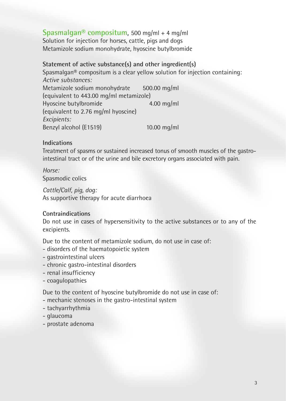# **Spasmalgan® compositum**, 500 mg/ml + 4 mg/ml Solution for injection for horses, cattle, pigs and dogs Metamizole sodium monohydrate, hyoscine butylbromide

# **Statement of active substance(s) and other ingredient(s)**

Spasmalgan® compositum is a clear yellow solution for injection containing: *Active substances:* Metamizole sodium monohydrate 500.00 mg/ml (equivalent to 443.00 mg/ml metamizole) Hyoscine butylbromide 4.00 mg/ml (equivalent to 2.76 mg/ml hyoscine) *Excipients:* Benzyl alcohol (E1519) 10.00 mg/ml

## **Indications**

Treatment of spasms or sustained increased tonus of smooth muscles of the gastrointestinal tract or of the urine and bile excretory organs associated with pain.

*Horse:*  Spasmodic colics

*Cattle/Calf, pig, dog:* As supportive therapy for acute diarrhoea

# **Contraindications**

Do not use in cases of hypersensitivity to the active substances or to any of the excipients.

Due to the content of metamizole sodium, do not use in case of:

- disorders of the haematopoietic system
- gastrointestinal ulcers
- chronic gastro-intestinal disorders
- renal insufficiency
- coagulopathies

Due to the content of hyoscine butylbromide do not use in case of:

- mechanic stenoses in the gastro-intestinal system
- tachyarrhythmia
- glaucoma
- prostate adenoma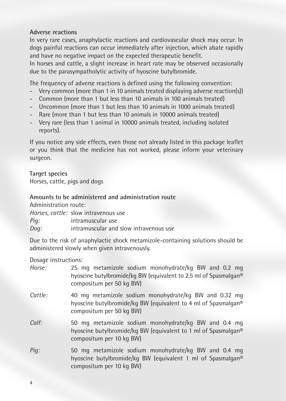### **Adverse reactions**

In very rare cases, anaphylactic reactions and cardiovascular shock may occur. In dogs painful reactions can occur immediately after injection, which abate rapidly and have no negative impact on the expected therapeutic benefit.

In horses and cattle, a slight increase in heart rate may be observed occasionally due to the parasympatholytic activity of hyoscine butylbromide.

The frequency of adverse reactions is defined using the following convention:

- Very common (more than 1 in 10 animals treated displaying adverse reaction(s))
- Common (more than 1 but less than 10 animals in 100 animals treated)
- Uncommon (more than 1 but less than 10 animals in 1000 animals treated)
- Rare (more than 1 but less than 10 animals in 10000 animals treated)
- Very rare (less than 1 animal in 10000 animals treated, including isolated reports).

If you notice any side effects, even those not already listed in this package leaflet or you think that the medicine has not worked, please inform your veterinary surgeon.

**Target species**

Horses, cattle, pigs and dogs

#### **Amounts to be administered and administration route**

Administration route:

|      | Horses, cattle: slow intravenous use   |
|------|----------------------------------------|
| Pig: | intramuscular use                      |
| Dog: | intramuscular and slow intravenous use |

Due to the risk of anaphylactic shock metamizole-containing solutions should be administered slowly when given intravenously.

Dosage instructions:

| Horse:        | 25 mg metamizole sodium monohydrate/kg BW and 0.2 mg<br>hyoscine butylbromide/kg BW (equivalent to 2.5 ml of Spasmalgan®<br>compositum per 50 kg BW) |
|---------------|------------------------------------------------------------------------------------------------------------------------------------------------------|
| Cattle:       | 40 mg metamizole sodium monohydrate/kg BW and 0.32 mg<br>hyoscine butylbromide/kg BW (equivalent to 4 ml of Spasmalgan®<br>compositum per 50 kg BW)  |
| $C\alpha$ If: | 50 mg metamizole sodium monohydrate/kg BW and 0.4 mg<br>hyoscine butylbromide/kg BW (equivalent to 1 ml of Spasmalgan®<br>compositum per 10 kg BW)   |
| Pig:          | 50 mg metamizole sodium monohydrate/kg BW and 0.4 mg<br>hyoscine butylbromide/kg BW (equivalent 1 ml of Spasmalgan®<br>compositum per 10 kg BW)      |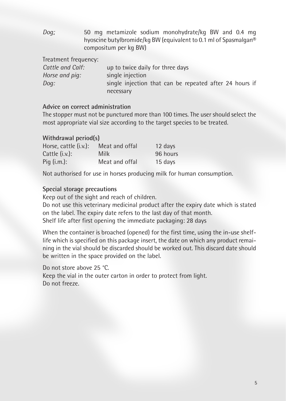*Dog:* 50 mg metamizole sodium monohydrate/kg BW and 0.4 mg hyoscine butylbromide/kg BW (equivalent to 0.1 ml of Spasmalgan® compositum per kg BW)

| Treatment frequency: |                                                         |
|----------------------|---------------------------------------------------------|
| Cattle and Calf:     | up to twice daily for three days                        |
| Horse and pig:       | single injection                                        |
| Dog:                 | single injection that can be repeated after 24 hours if |
|                      | necessary                                               |

## **Advice on correct administration**

The stopper must not be punctured more than 100 times. The user should select the most appropriate vial size according to the target species to be treated.

#### **Withdrawal period(s)**

| Horse, cattle (i.v.): | Meat and offal | 12 days  |
|-----------------------|----------------|----------|
| Cattle $(i.v.)$ :     | Milk           | 96 hours |
| Pig $(i.m.):$         | Meat and offal | 15 days  |

Not authorised for use in horses producing milk for human consumption.

#### **Special storage precautions**

Keep out of the sight and reach of children.

Do not use this veterinary medicinal product after the expiry date which is stated on the label. The expiry date refers to the last day of that month. Shelf life after first opening the immediate packaging: 28 days

When the container is broached (opened) for the first time, using the in-use shelflife which is specified on this package insert, the date on which any product remaining in the vial should be discarded should be worked out. This discard date should be written in the space provided on the label.

Do not store above 25 °C. Keep the vial in the outer carton in order to protect from light. Do not freeze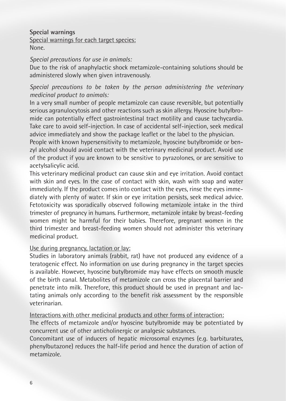## **Special warnings** Special warnings for each target species: None.

#### *Special precautions for use in animals:*

Due to the risk of anaphylactic shock metamizole-containing solutions should be administered slowly when given intravenously.

## *Special precautions to be taken by the person administering the veterinary medicinal product to animals:*

In a very small number of people metamizole can cause reversible, but potentially serious agranulocytosis and other reactions such as skin allergy. Hyoscine butylbromide can potentially effect gastrointestinal tract motility and cause tachycardia. Take care to avoid self-injection. In case of accidental self-injection, seek medical advice immediately and show the package leaflet or the label to the physician.

People with known hypersensitivity to metamizole, hyoscine butylbromide or benzyl alcohol should avoid contact with the veterinary medicinal product. Avoid use of the product if you are known to be sensitive to pyrazolones, or are sensitive to acetylsalicylic acid.

This veterinary medicinal product can cause skin and eye irritation. Avoid contact with skin and eyes. In the case of contact with skin, wash with soap and water immediately. If the product comes into contact with the eyes, rinse the eyes immediately with plenty of water. If skin or eye irritation persists, seek medical advice. Fetotoxicity was sporadically observed following metamizole intake in the third trimester of pregnancy in humans. Furthermore, metamizole intake by breast-feeding women might be harmful for their babies. Therefore, pregnant women in the third trimester and breast-feeding women should not administer this veterinary medicinal product.

#### Use during pregnancy, lactation or lay:

Studies in laboratory animals (rabbit, rat) have not produced any evidence of a teratogenic effect. No information on use during pregnancy in the target species is available. However, hyoscine butylbromide may have effects on smooth muscle of the birth canal. Metabolites of metamizole can cross the placental barrier and penetrate into milk. Therefore, this product should be used in pregnant and lactating animals only according to the benefit risk assessment by the responsible veterinarian.

Interactions with other medicinal products and other forms of interaction:

The effects of metamizole and/or hyoscine butylbromide may be potentiated by concurrent use of other anticholinergic or analgesic substances.

Concomitant use of inducers of hepatic microsomal enzymes (e.g. barbiturates, phenylbutazone) reduces the half-life period and hence the duration of action of metamizole.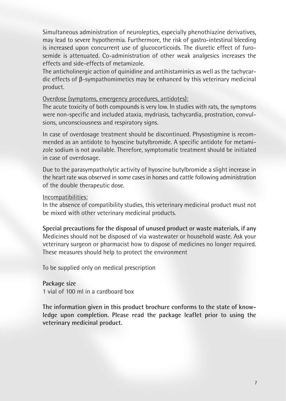Simultaneous administration of neuroleptics, especially phenothiazine derivatives, may lead to severe hypothermia. Furthermore, the risk of gastro-intestinal bleeding is increased upon concurrent use of glucocorticoids. The diuretic effect of furosemide is attenuated. Co-administration of other weak analgesics increases the effects and side-effects of metamizole.

The anticholinergic action of quinidine and antihistaminics as well as the tachycardic effects of β-sympathomimetics may be enhanced by this veterinary medicinal product.

#### Overdose (symptoms, emergency procedures, antidotes):

The acute toxicity of both compounds is very low. In studies with rats, the symptoms were non-specific and included ataxia, mydriasis, tachycardia, prostration, convulsions, unconsciousness and respiratory signs.

In case of overdosage treatment should be discontinued. Physostigmine is recommended as an antidote to hyoscine butylbromide. A specific antidote for metamizole sodium is not available. Therefore, symptomatic treatment should be initiated in case of overdosage.

Due to the parasympatholytic activity of hyoscine butylbromide a slight increase in the heart rate was observed in some cases in horses and cattle following administration of the double therapeutic dose.

#### Incompatibilities:

In the absence of compatibility studies, this veterinary medicinal product must not be mixed with other veterinary medicinal products.

**Special precautions for the disposal of unused product or waste materials, if any**  Medicines should not be disposed of via wastewater or household waste. Ask your veterinary surgeon or pharmacist how to dispose of medicines no longer required. These measures should help to protect the environment

To be supplied only on medical prescription

#### **Package size**

1 vial of 100 ml in a cardboard box

**The information given in this product brochure conforms to the state of knowledge upon completion. Please read the package leaflet prior to using the veterinary medicinal product.**